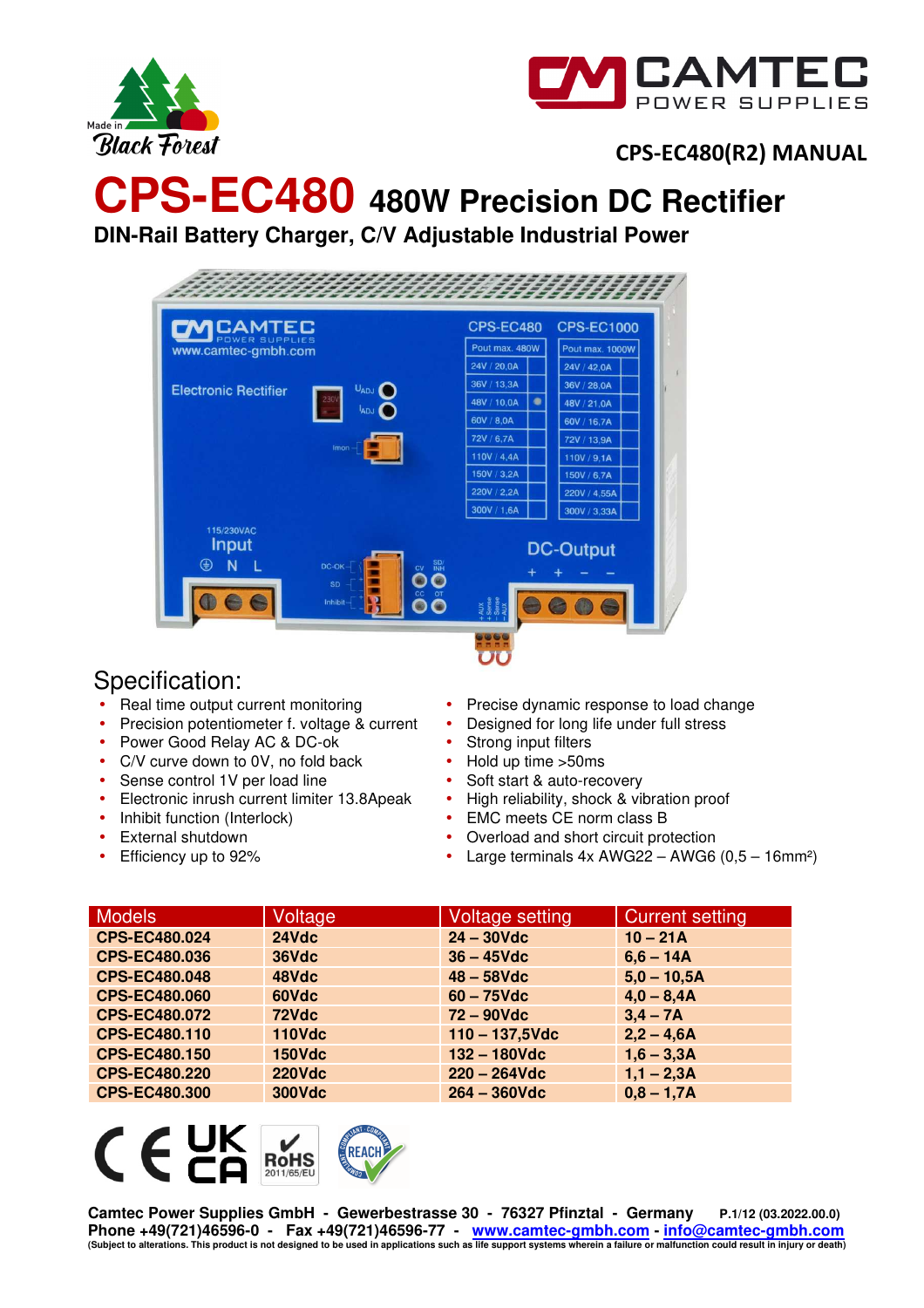



# **CPS-EC480 480W Precision DC Rectifier**

**DIN-Rail Battery Charger, C/V Adjustable Industrial Power** 



## Specification:

- Real time output current monitoring
- Precision potentiometer f. voltage & current
- Power Good Relay AC & DC-ok
- C/V curve down to 0V, no fold back
- Sense control 1V per load line
- Electronic inrush current limiter 13.8Apeak
- Inhibit function (Interlock)
- External shutdown
- Efficiency up to 92%
- Precise dynamic response to load change
- Designed for long life under full stress
- Strong input filters
- Hold up time >50ms
- Soft start & auto-recovery
- High reliability, shock & vibration proof
- EMC meets CE norm class B
- Overload and short circuit protection
- Large terminals  $4x$  AWG22 AWG6  $(0,5 16$ mm<sup>2</sup>)

| <b>Models</b>        | Voltage       | Voltage setting   | <b>Current setting</b> |
|----------------------|---------------|-------------------|------------------------|
| CPS-EC480.024        | 24Vdc         | $24 - 30$ Vdc     | $10 - 21A$             |
| <b>CPS-EC480.036</b> | 36Vdc         | $36 - 45$ Vdc     | $6,6 - 14A$            |
| <b>CPS-EC480.048</b> | 48Vdc         | $48 - 58$ Vdc     | $5,0 - 10,5A$          |
| <b>CPS-EC480.060</b> | 60Vdc         | $60 - 75$ Vdc     | $4,0 - 8,4A$           |
| <b>CPS-EC480.072</b> | 72Vdc         | $72 - 90$ Vdc     | $3,4 - 7A$             |
| <b>CPS-EC480.110</b> | <b>110Vdc</b> | $110 - 137,5$ Vdc | $2,2 - 4,6A$           |
| <b>CPS-EC480.150</b> | <b>150Vdc</b> | 132 - 180Vdc      | $1,6 - 3,3A$           |
| <b>CPS-EC480.220</b> | <b>220Vdc</b> | $220 - 264$ Vdc   | $1,1 - 2,3A$           |
| <b>CPS-EC480.300</b> | <b>300Vdc</b> | $264 - 360$ Vdc   | $0,8 - 1,7A$           |

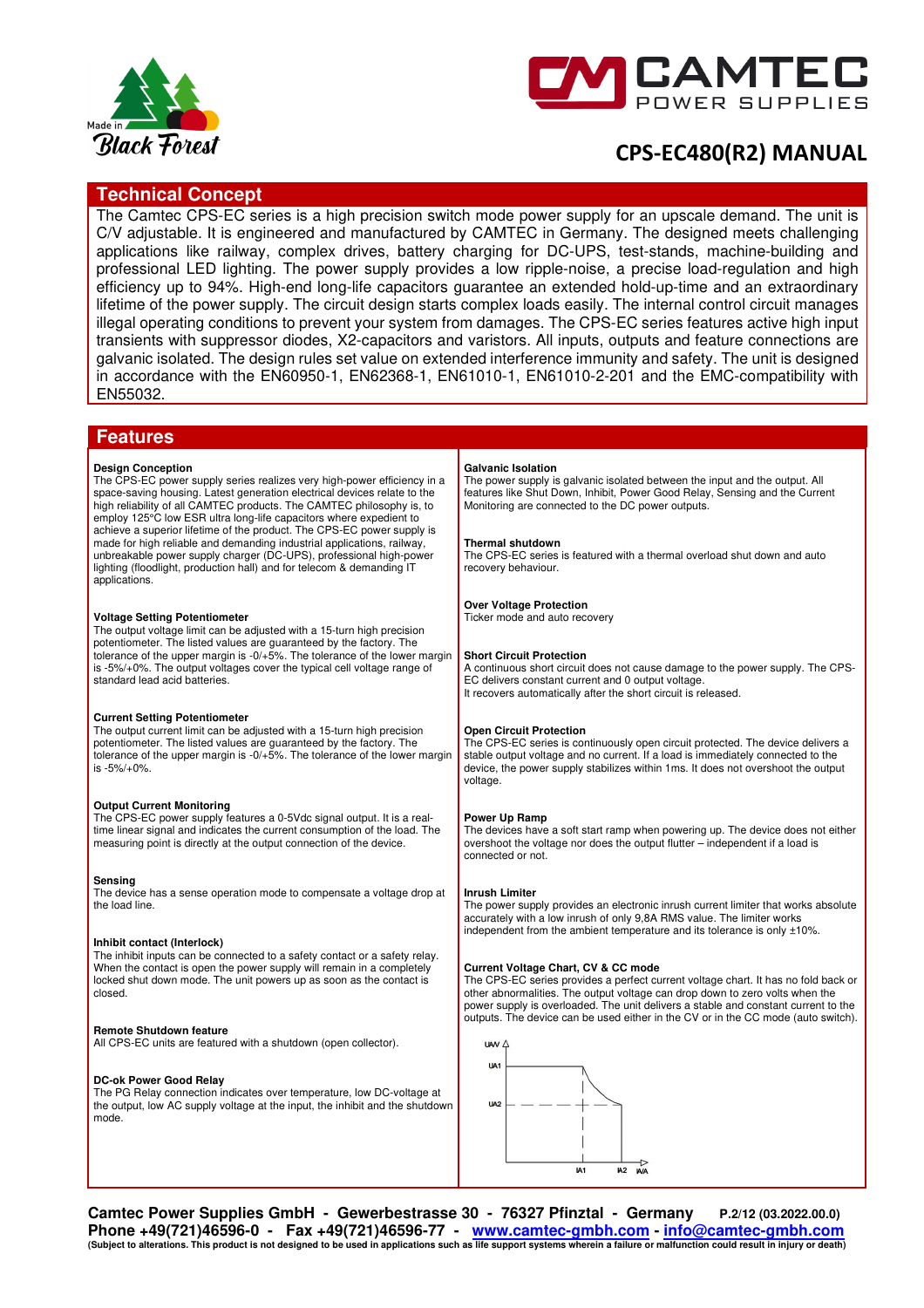



### **Technical Concept**

The Camtec CPS-EC series is a high precision switch mode power supply for an upscale demand. The unit is C/V adjustable. It is engineered and manufactured by CAMTEC in Germany. The designed meets challenging applications like railway, complex drives, battery charging for DC-UPS, test-stands, machine-building and professional LED lighting. The power supply provides a low ripple-noise, a precise load-regulation and high efficiency up to 94%. High-end long-life capacitors guarantee an extended hold-up-time and an extraordinary lifetime of the power supply. The circuit design starts complex loads easily. The internal control circuit manages illegal operating conditions to prevent your system from damages. The CPS-EC series features active high input transients with suppressor diodes, X2-capacitors and varistors. All inputs, outputs and feature connections are galvanic isolated. The design rules set value on extended interference immunity and safety. The unit is designed in accordance with the EN60950-1, EN62368-1, EN61010-1, EN61010-2-201 and the EMC-compatibility with EN55032.

### **Features**

#### **Design Conception**

The CPS-EC power supply series realizes very high-power efficiency in a space-saving housing. Latest generation electrical devices relate to the high reliability of all CAMTEC products. The CAMTEC philosophy is, to employ 125°C low ESR ultra long-life capacitors where expedient to achieve a superior lifetime of the product. The CPS-EC power supply is made for high reliable and demanding industrial applications, railway, unbreakable power supply charger (DC-UPS), professional high-power lighting (floodlight, production hall) and for telecom & demanding IT applications.

#### **Voltage Setting Potentiometer**

The output voltage limit can be adjusted with a 15-turn high precision potentiometer. The listed values are guaranteed by the factory. The tolerance of the upper margin is -0/+5%. The tolerance of the lower margin is -5%/+0%. The output voltages cover the typical cell voltage range of standard lead acid batteries.

### **Current Setting Potentiometer**

The output current limit can be adjusted with a 15-turn high precision potentiometer. The listed values are guaranteed by the factory. The tolerance of the upper margin is -0/+5%. The tolerance of the lower margin is -5%/+0%.

### **Output Current Monitoring**

The CPS-EC power supply features a 0-5Vdc signal output. It is a realtime linear signal and indicates the current consumption of the load. The measuring point is directly at the output connection of the device.

#### **Sensing**

The device has a sense operation mode to compensate a voltage drop at the load line.

#### **Inhibit contact (Interlock)**

The inhibit inputs can be connected to a safety contact or a safety relay. When the contact is open the power supply will remain in a completely locked shut down mode. The unit powers up as soon as the contact is closed.

#### **Remote Shutdown feature**

All CPS-EC units are featured with a shutdown (open collector).

#### **DC-ok Power Good Relay**

The PG Relay connection indicates over temperature, low DC-voltage at the output, low AC supply voltage at the input, the inhibit and the shutdown mode.

#### **Galvanic Isolation**

The power supply is galvanic isolated between the input and the output. All features like Shut Down, Inhibit, Power Good Relay, Sensing and the Current Monitoring are connected to the DC power outputs.

#### **Thermal shutdown**

The CPS-EC series is featured with a thermal overload shut down and auto recovery behaviour.

### **Over Voltage Protection**

Ticker mode and auto recovery

#### **Short Circuit Protection**

A continuous short circuit does not cause damage to the power supply. The CPS-EC delivers constant current and 0 output voltage. It recovers automatically after the short circuit is released.

#### **Open Circuit Protection**

The CPS-EC series is continuously open circuit protected. The device delivers a stable output voltage and no current. If a load is immediately connected to the device, the power supply stabilizes within 1ms. It does not overshoot the output voltage

#### **Power Up Ramp**

The devices have a soft start ramp when powering up. The device does not either overshoot the voltage nor does the output flutter – independent if a load is connected or not.

### **Inrush Limiter**

The power supply provides an electronic inrush current limiter that works absolute accurately with a low inrush of only 9,8A RMS value. The limiter works independent from the ambient temperature and its tolerance is only ±10%.

#### **Current Voltage Chart, CV & CC mode**

The CPS-EC series provides a perfect current voltage chart. It has no fold back or other abnormalities. The output voltage can drop down to zero volts when the power supply is overloaded. The unit delivers a stable and constant current to the outputs. The device can be used either in the CV or in the CC mode (auto switch).



**Camtec Power Supplies GmbH - Gewerbestrasse 30 - 76327 Pfinztal - Germany P.2/12 (03.2022.00.0) Phone +49(721)46596-0 - Fax +49(721)46596-77 - www.camtec-gmbh.com - info@camtec-gmbh.com (Subject to alterations. This product is not designed to be used in applications such as life support systems wherein a failure or malfunction could result in injury or death)**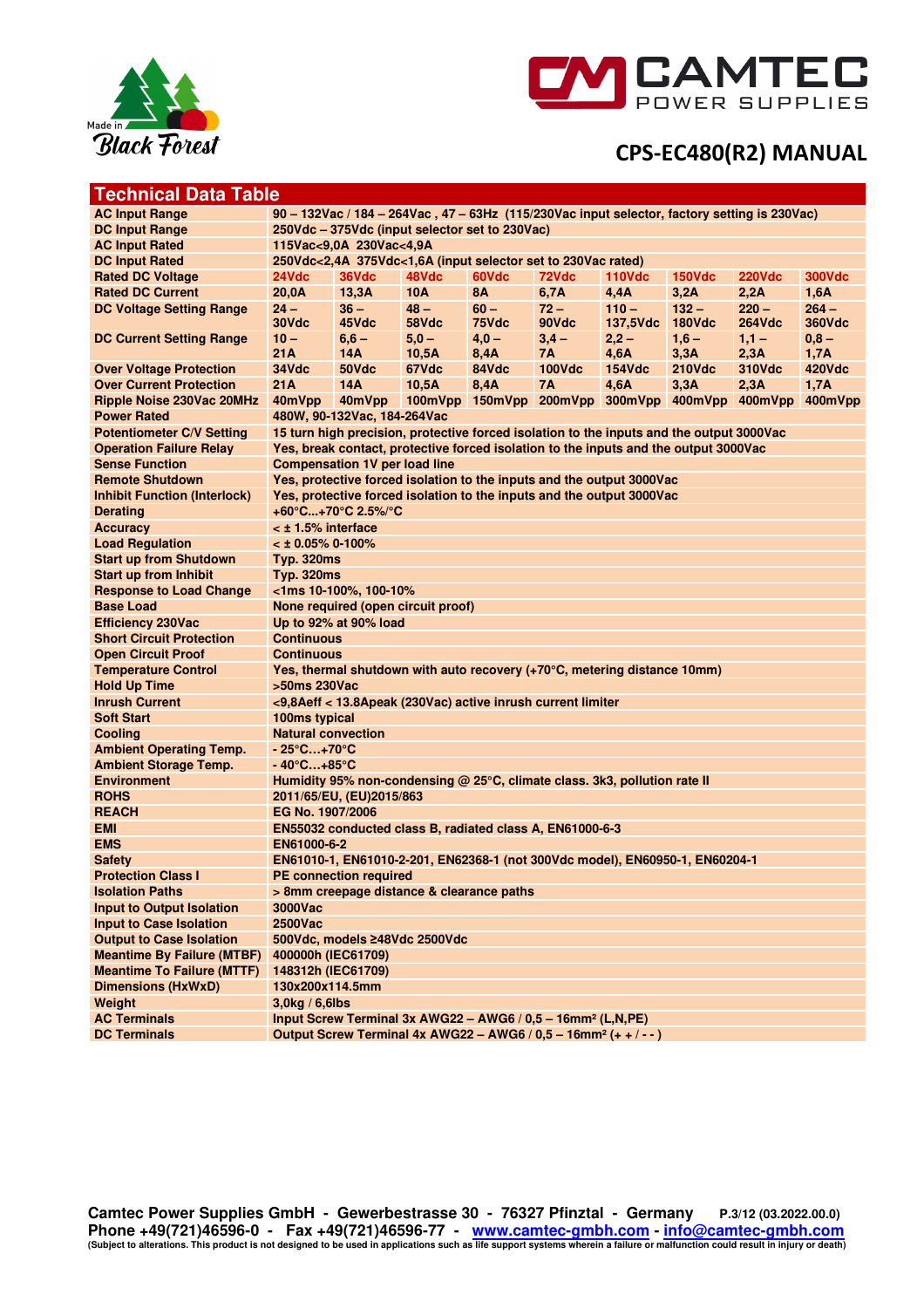



## **Technical Data Table**

| <b>AC Input Range</b>               | 90 - 132Vac / 184 - 264Vac, 47 - 63Hz (115/230Vac input selector, factory setting is 230Vac)                  |                                                                                                                                                         |                                                                                          |           |               |               |               |                                                 |               |
|-------------------------------------|---------------------------------------------------------------------------------------------------------------|---------------------------------------------------------------------------------------------------------------------------------------------------------|------------------------------------------------------------------------------------------|-----------|---------------|---------------|---------------|-------------------------------------------------|---------------|
| <b>DC Input Range</b>               | 250Vdc - 375Vdc (input selector set to 230Vac)                                                                |                                                                                                                                                         |                                                                                          |           |               |               |               |                                                 |               |
| <b>AC Input Rated</b>               | 115Vac<9.0A 230Vac<4.9A                                                                                       |                                                                                                                                                         |                                                                                          |           |               |               |               |                                                 |               |
| <b>DC Input Rated</b>               | 250Vdc<2,4A 375Vdc<1,6A (input selector set to 230Vac rated)                                                  |                                                                                                                                                         |                                                                                          |           |               |               |               |                                                 |               |
| <b>Rated DC Voltage</b>             | 36Vdc<br>48Vdc<br>60Vdc<br>72Vdc<br>24Vdc<br><b>110Vdc</b><br><b>150Vdc</b><br><b>220Vdc</b><br><b>300Vdc</b> |                                                                                                                                                         |                                                                                          |           |               |               |               |                                                 |               |
| <b>Rated DC Current</b>             | 20,0A                                                                                                         | 13.3A                                                                                                                                                   | <b>10A</b>                                                                               | <b>8A</b> | 6,7A          | 4,4A          | 3,2A          | 2,2A                                            | 1,6A          |
| <b>DC Voltage Setting Range</b>     | $24 -$                                                                                                        | $36 -$                                                                                                                                                  | $48 -$                                                                                   | $60 -$    | $72 -$        | $110 -$       | $132 -$       | $220 -$                                         | $264 -$       |
|                                     | 30Vdc                                                                                                         | 45Vdc                                                                                                                                                   | 58Vdc                                                                                    | 75Vdc     | 90Vdc         | 137,5Vdc      | 180Vdc        | <b>264Vdc</b>                                   | <b>360Vdc</b> |
| <b>DC Current Setting Range</b>     | $10 -$                                                                                                        | $6,6 -$                                                                                                                                                 | $5.0 -$                                                                                  | $4,0 -$   | $3.4 -$       | $2,2 -$       | $1,6 -$       | $1,1 -$                                         | $0,8 -$       |
|                                     | 21A                                                                                                           | 14A                                                                                                                                                     | 10,5A                                                                                    | 8,4A      | 7A            | 4,6A          | 3,3A          | 2,3A                                            | 1,7A          |
| <b>Over Voltage Protection</b>      | 34Vdc                                                                                                         | 50Vdc                                                                                                                                                   | 67Vdc                                                                                    | 84Vdc     | <b>100Vdc</b> | <b>154Vdc</b> | <b>210Vdc</b> | 310Vdc                                          | 420Vdc        |
| <b>Over Current Protection</b>      | 21A                                                                                                           | <b>14A</b>                                                                                                                                              | 10,5A                                                                                    | 8,4A      | <b>7A</b>     | 4,6A          | 3.3A          | 2,3A                                            | 1,7A          |
| Ripple Noise 230Vac 20MHz           | 40mVpp                                                                                                        | 40mVpp                                                                                                                                                  |                                                                                          |           |               |               |               | 100mVpp 150mVpp 200mVpp 300mVpp 400mVpp 400mVpp | 400mVpp       |
| <b>Power Rated</b>                  |                                                                                                               | 480W, 90-132Vac, 184-264Vac                                                                                                                             |                                                                                          |           |               |               |               |                                                 |               |
| <b>Potentiometer C/V Setting</b>    |                                                                                                               |                                                                                                                                                         | 15 turn high precision, protective forced isolation to the inputs and the output 3000Vac |           |               |               |               |                                                 |               |
| <b>Operation Failure Relay</b>      |                                                                                                               |                                                                                                                                                         | Yes, break contact, protective forced isolation to the inputs and the output 3000Vac     |           |               |               |               |                                                 |               |
| <b>Sense Function</b>               |                                                                                                               | <b>Compensation 1V per load line</b>                                                                                                                    |                                                                                          |           |               |               |               |                                                 |               |
| <b>Remote Shutdown</b>              |                                                                                                               |                                                                                                                                                         | Yes, protective forced isolation to the inputs and the output 3000Vac                    |           |               |               |               |                                                 |               |
| <b>Inhibit Function (Interlock)</b> |                                                                                                               |                                                                                                                                                         | Yes, protective forced isolation to the inputs and the output 3000Vac                    |           |               |               |               |                                                 |               |
| <b>Derating</b>                     |                                                                                                               | +60°C+70°C 2.5%/°C                                                                                                                                      |                                                                                          |           |               |               |               |                                                 |               |
| <b>Accuracy</b>                     | < ± 1.5% interface                                                                                            |                                                                                                                                                         |                                                                                          |           |               |               |               |                                                 |               |
| <b>Load Regulation</b>              | $<$ ± 0.05% 0-100%                                                                                            |                                                                                                                                                         |                                                                                          |           |               |               |               |                                                 |               |
| <b>Start up from Shutdown</b>       | <b>Typ. 320ms</b>                                                                                             |                                                                                                                                                         |                                                                                          |           |               |               |               |                                                 |               |
| <b>Start up from Inhibit</b>        | <b>Typ. 320ms</b>                                                                                             |                                                                                                                                                         |                                                                                          |           |               |               |               |                                                 |               |
| <b>Response to Load Change</b>      |                                                                                                               | <1ms 10-100%, 100-10%                                                                                                                                   |                                                                                          |           |               |               |               |                                                 |               |
| <b>Base Load</b>                    |                                                                                                               |                                                                                                                                                         | None required (open circuit proof)                                                       |           |               |               |               |                                                 |               |
| <b>Efficiency 230Vac</b>            |                                                                                                               | Up to 92% at 90% load                                                                                                                                   |                                                                                          |           |               |               |               |                                                 |               |
| <b>Short Circuit Protection</b>     | <b>Continuous</b>                                                                                             |                                                                                                                                                         |                                                                                          |           |               |               |               |                                                 |               |
| <b>Open Circuit Proof</b>           | <b>Continuous</b>                                                                                             |                                                                                                                                                         |                                                                                          |           |               |               |               |                                                 |               |
| <b>Temperature Control</b>          |                                                                                                               |                                                                                                                                                         | Yes, thermal shutdown with auto recovery (+70°C, metering distance 10mm)                 |           |               |               |               |                                                 |               |
| <b>Hold Up Time</b>                 | >50ms 230Vac                                                                                                  |                                                                                                                                                         |                                                                                          |           |               |               |               |                                                 |               |
| <b>Inrush Current</b>               |                                                                                                               |                                                                                                                                                         | <9,8Aeff < 13.8Apeak (230Vac) active inrush current limiter                              |           |               |               |               |                                                 |               |
| <b>Soft Start</b>                   | 100ms typical                                                                                                 |                                                                                                                                                         |                                                                                          |           |               |               |               |                                                 |               |
| Cooling                             | <b>Natural convection</b>                                                                                     |                                                                                                                                                         |                                                                                          |           |               |               |               |                                                 |               |
| <b>Ambient Operating Temp.</b>      | - 25°C…+70°C                                                                                                  |                                                                                                                                                         |                                                                                          |           |               |               |               |                                                 |               |
| <b>Ambient Storage Temp.</b>        | - 40°C…+85°C                                                                                                  |                                                                                                                                                         |                                                                                          |           |               |               |               |                                                 |               |
| <b>Environment</b>                  |                                                                                                               |                                                                                                                                                         | Humidity 95% non-condensing $@$ 25 $°C$ , climate class. 3k3, pollution rate II          |           |               |               |               |                                                 |               |
| <b>ROHS</b>                         |                                                                                                               | 2011/65/EU, (EU)2015/863                                                                                                                                |                                                                                          |           |               |               |               |                                                 |               |
| <b>REACH</b>                        | EG No. 1907/2006                                                                                              |                                                                                                                                                         |                                                                                          |           |               |               |               |                                                 |               |
| <b>EMI</b>                          |                                                                                                               |                                                                                                                                                         | EN55032 conducted class B, radiated class A, EN61000-6-3                                 |           |               |               |               |                                                 |               |
| <b>EMS</b>                          | EN61000-6-2                                                                                                   |                                                                                                                                                         |                                                                                          |           |               |               |               |                                                 |               |
| <b>Safety</b>                       |                                                                                                               |                                                                                                                                                         | EN61010-1, EN61010-2-201, EN62368-1 (not 300Vdc model), EN60950-1, EN60204-1             |           |               |               |               |                                                 |               |
| <b>Protection Class I</b>           |                                                                                                               | <b>PE connection required</b>                                                                                                                           |                                                                                          |           |               |               |               |                                                 |               |
| <b>Isolation Paths</b>              | > 8mm creepage distance & clearance paths                                                                     |                                                                                                                                                         |                                                                                          |           |               |               |               |                                                 |               |
| <b>Input to Output Isolation</b>    | 3000Vac                                                                                                       |                                                                                                                                                         |                                                                                          |           |               |               |               |                                                 |               |
| <b>Input to Case Isolation</b>      | 2500Vac                                                                                                       |                                                                                                                                                         |                                                                                          |           |               |               |               |                                                 |               |
| <b>Output to Case Isolation</b>     |                                                                                                               |                                                                                                                                                         | 500Vdc, models ≥48Vdc 2500Vdc                                                            |           |               |               |               |                                                 |               |
| <b>Meantime By Failure (MTBF)</b>   | 400000h (IEC61709)                                                                                            |                                                                                                                                                         |                                                                                          |           |               |               |               |                                                 |               |
| <b>Meantime To Failure (MTTF)</b>   |                                                                                                               | 148312h (IEC61709)                                                                                                                                      |                                                                                          |           |               |               |               |                                                 |               |
| <b>Dimensions (HxWxD)</b>           | 130x200x114.5mm                                                                                               |                                                                                                                                                         |                                                                                          |           |               |               |               |                                                 |               |
| Weight                              | $3,0$ kg / 6,6lbs                                                                                             |                                                                                                                                                         |                                                                                          |           |               |               |               |                                                 |               |
| <b>AC Terminals</b>                 |                                                                                                               |                                                                                                                                                         |                                                                                          |           |               |               |               |                                                 |               |
| <b>DC Terminals</b>                 |                                                                                                               | Input Screw Terminal 3x AWG22 - AWG6 / 0,5 - 16mm <sup>2</sup> (L,N,PE)<br>Output Screw Terminal 4x AWG22 - AWG6 / 0,5 - 16mm <sup>2</sup> (+ + / - - ) |                                                                                          |           |               |               |               |                                                 |               |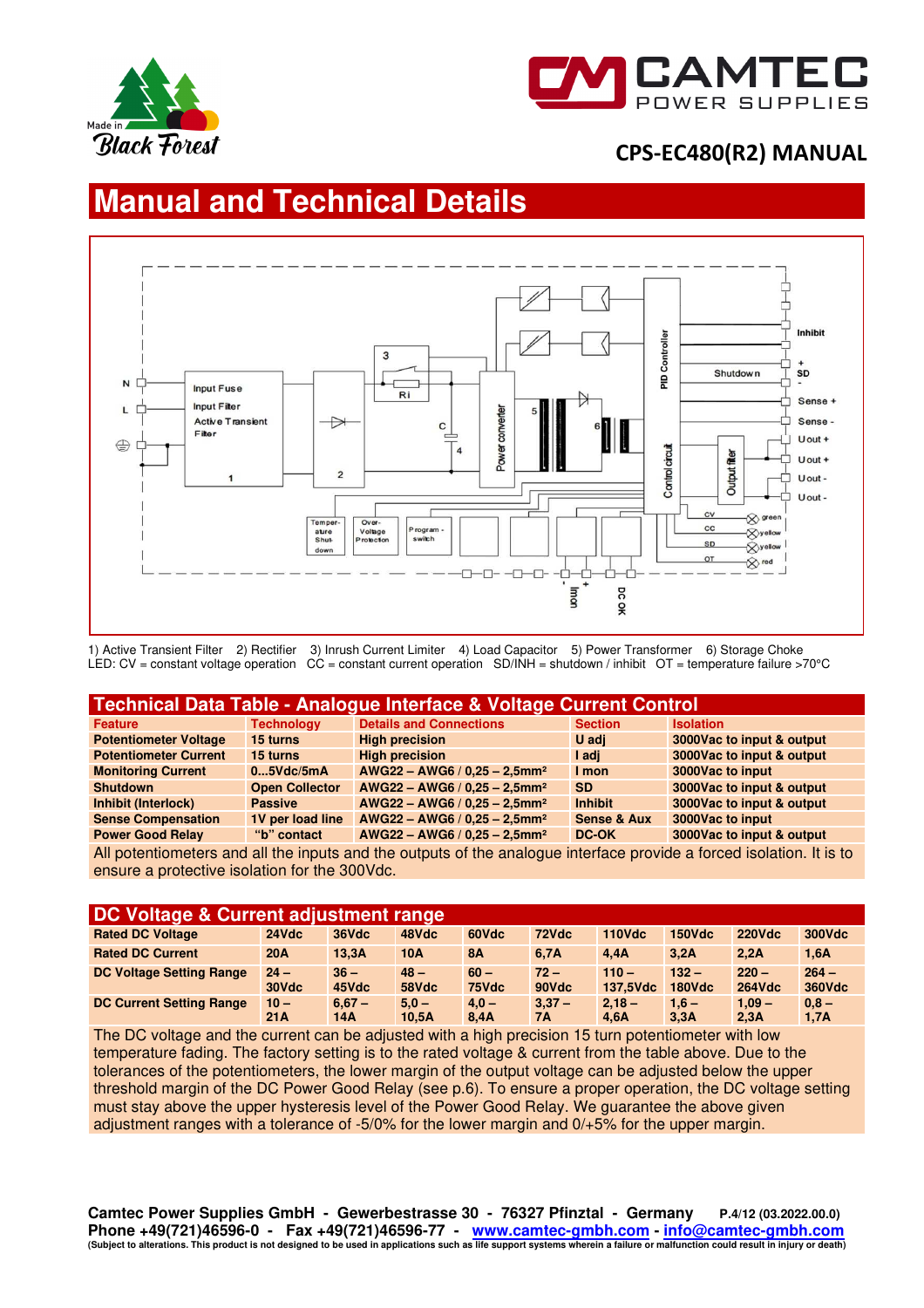



# **Manual and Technical Details**



1) Active Transient Filter 2) Rectifier 3) Inrush Current Limiter 4) Load Capacitor 5) Power Transformer 6) Storage Choke LED: CV = constant voltage operation CC = constant current operation SD/INH = shutdown / inhibit OT = temperature failure >70°C

| Technical Data Table - Analogue Interface & Voltage Current Control |                       |                                             |                        |                            |  |  |  |  |  |
|---------------------------------------------------------------------|-----------------------|---------------------------------------------|------------------------|----------------------------|--|--|--|--|--|
| Feature                                                             | <b>Technology</b>     | <b>Details and Connections</b>              | <b>Section</b>         | <b>Isolation</b>           |  |  |  |  |  |
| <b>Potentiometer Voltage</b>                                        | 15 turns              | <b>High precision</b>                       | U adi                  | 3000 Vac to input & output |  |  |  |  |  |
| <b>Potentiometer Current</b>                                        | 15 turns              | <b>High precision</b>                       | I adi                  | 3000Vac to input & output  |  |  |  |  |  |
| <b>Monitoring Current</b>                                           | 05Vdc/5mA             | $AWG22 - AWG6 / 0.25 - 2.5mm2$              | I mon                  | 3000Vac to input           |  |  |  |  |  |
| <b>Shutdown</b>                                                     | <b>Open Collector</b> | $AWG22 - AWG6 / 0.25 - 2.5$ mm <sup>2</sup> | <b>SD</b>              | 3000Vac to input & output  |  |  |  |  |  |
| Inhibit (Interlock)                                                 | <b>Passive</b>        | $AWG22 - AWG6 / 0.25 - 2.5$ mm <sup>2</sup> | <b>Inhibit</b>         | 3000Vac to input & output  |  |  |  |  |  |
| <b>Sense Compensation</b>                                           | 1V per load line      | $AWG22 - AWG6 / 0.25 - 2.5$ mm <sup>2</sup> | <b>Sense &amp; Aux</b> | 3000Vac to input           |  |  |  |  |  |
| <b>Power Good Relay</b>                                             | "b" contact           | $AWG22 - AWG6 / 0.25 - 2.5$ mm <sup>2</sup> | DC-OK                  | 3000Vac to input & output  |  |  |  |  |  |

All potentiometers and all the inputs and the outputs of the analogue interface provide a forced isolation. It is to ensure a protective isolation for the 300Vdc.

| <b>DC Voltage &amp; Current adjustment range</b> |                 |                 |                  |                 |                 |                     |                          |                          |                   |  |
|--------------------------------------------------|-----------------|-----------------|------------------|-----------------|-----------------|---------------------|--------------------------|--------------------------|-------------------|--|
| <b>Rated DC Voltage</b>                          | 24Vdc           | 36Vdc           | 48Vdc            | 60Vdc           | 72Vdc           | <b>110Vdc</b>       | <b>150Vdc</b>            | <b>220Vdc</b>            | 300Vdc            |  |
| <b>Rated DC Current</b>                          | 20A             | 13.3A           | <b>10A</b>       | <b>8A</b>       | 6.7A            | 4.4A                | 3.2A                     | 2.2A                     | 1,6A              |  |
| <b>DC Voltage Setting Range</b>                  | $24 -$<br>30Vdc | $36 -$<br>45Vdc | $48 -$<br>58Vdc  | $60 -$<br>75Vdc | $72 -$<br>90Vdc | $110 -$<br>137.5Vdc | $132 -$<br><b>180Vdc</b> | $220 -$<br><b>264Vdc</b> | $264 -$<br>360Vdc |  |
| <b>DC Current Setting Range</b>                  | $10 -$<br>21A   | $6.67 -$<br>14A | $5.0 -$<br>10,5A | $4.0 -$<br>8.4A | $3,37-$<br>7A   | $2.18 -$<br>4.6A    | $1,6 -$<br>3.3A          | $1.09 -$<br>2,3A         | $0.8 -$<br>1,7A   |  |

The DC voltage and the current can be adjusted with a high precision 15 turn potentiometer with low temperature fading. The factory setting is to the rated voltage & current from the table above. Due to the tolerances of the potentiometers, the lower margin of the output voltage can be adjusted below the upper threshold margin of the DC Power Good Relay (see p.6). To ensure a proper operation, the DC voltage setting must stay above the upper hysteresis level of the Power Good Relay. We guarantee the above given adjustment ranges with a tolerance of -5/0% for the lower margin and 0/+5% for the upper margin.

**Camtec Power Supplies GmbH - Gewerbestrasse 30 - 76327 Pfinztal - Germany P.4/12 (03.2022.00.0) Phone +49(721)46596-0 - Fax +49(721)46596-77 - www.camtec-gmbh.com - info@camtec-gmbh.com (Subject to alterations. This product is not designed to be used in applications such as life support systems wherein a failure or malfunction could result in injury or death)**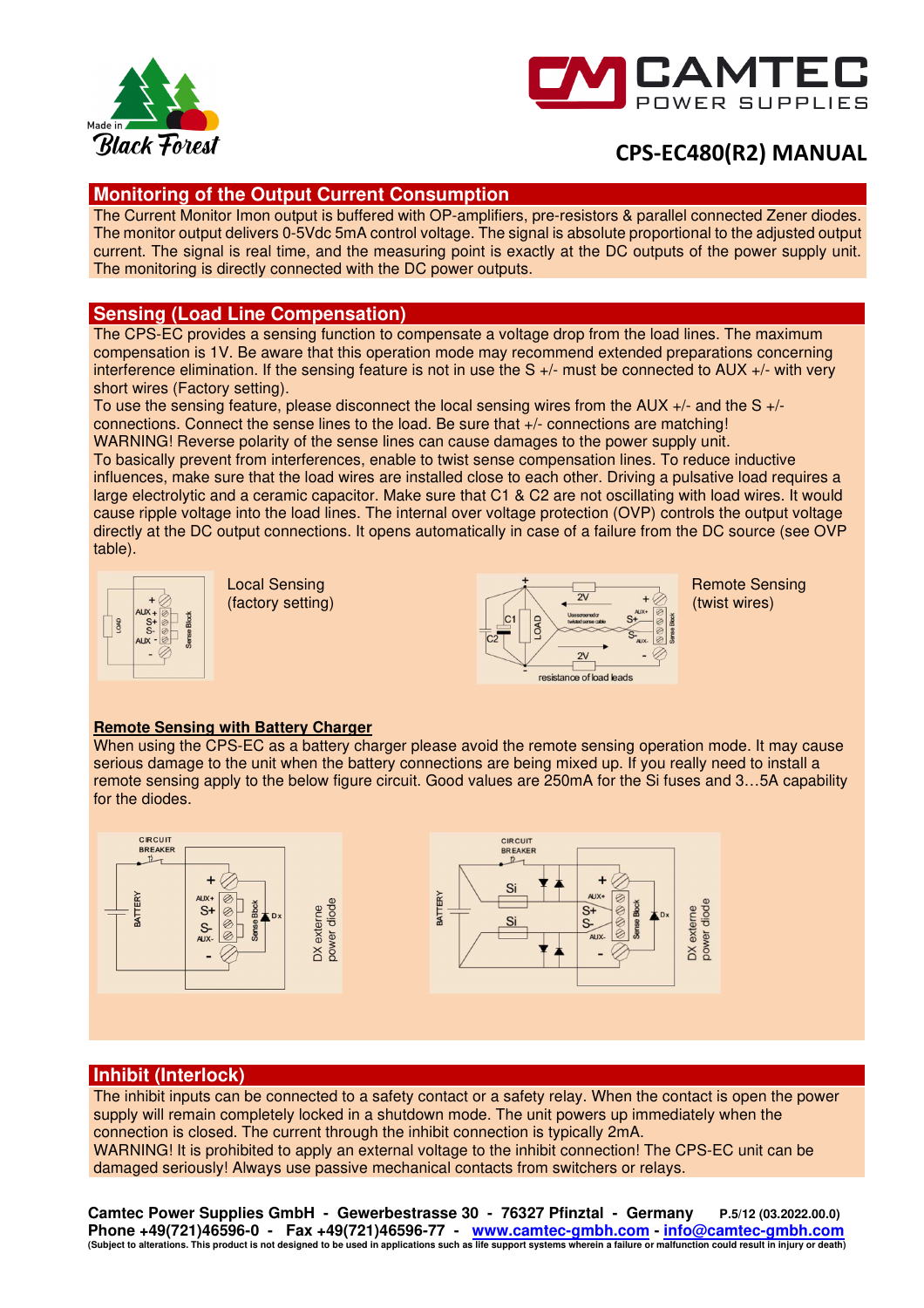



## **Monitoring of the Output Current Consumption**

The Current Monitor Imon output is buffered with OP-amplifiers, pre-resistors & parallel connected Zener diodes. The monitor output delivers 0-5Vdc 5mA control voltage. The signal is absolute proportional to the adjusted output current. The signal is real time, and the measuring point is exactly at the DC outputs of the power supply unit. The monitoring is directly connected with the DC power outputs.

## **Sensing (Load Line Compensation)**

The CPS-EC provides a sensing function to compensate a voltage drop from the load lines. The maximum compensation is 1V. Be aware that this operation mode may recommend extended preparations concerning interference elimination. If the sensing feature is not in use the  $S +/1$  must be connected to AUX  $+/1$  with very short wires (Factory setting).

To use the sensing feature, please disconnect the local sensing wires from the AUX +/- and the S +/ connections. Connect the sense lines to the load. Be sure that +/- connections are matching! WARNING! Reverse polarity of the sense lines can cause damages to the power supply unit.

To basically prevent from interferences, enable to twist sense compensation lines. To reduce inductive influences, make sure that the load wires are installed close to each other. Driving a pulsative load requires a large electrolytic and a ceramic capacitor. Make sure that C1 & C2 are not oscillating with load wires. It would cause ripple voltage into the load lines. The internal over voltage protection (OVP) controls the output voltage directly at the DC output connections. It opens automatically in case of a failure from the DC source (see OVP table).







### **Remote Sensing with Battery Charger**

When using the CPS-EC as a battery charger please avoid the remote sensing operation mode. It may cause serious damage to the unit when the battery connections are being mixed up. If you really need to install a remote sensing apply to the below figure circuit. Good values are 250mA for the Si fuses and 3…5A capability for the diodes.



## **Inhibit (Interlock)**

The inhibit inputs can be connected to a safety contact or a safety relay. When the contact is open the power supply will remain completely locked in a shutdown mode. The unit powers up immediately when the connection is closed. The current through the inhibit connection is typically 2mA. WARNING! It is prohibited to apply an external voltage to the inhibit connection! The CPS-EC unit can be damaged seriously! Always use passive mechanical contacts from switchers or relays.

**Camtec Power Supplies GmbH - Gewerbestrasse 30 - 76327 Pfinztal - Germany P.5/12 (03.2022.00.0) Phone +49(721)46596-0 - Fax +49(721)46596-77 - www.camtec-gmbh.com - info@camtec-gmbh.com (Subject to alterations. This product is not designed to be used in applications such as life support systems wherein a failure or malfunction could result in injury or death)**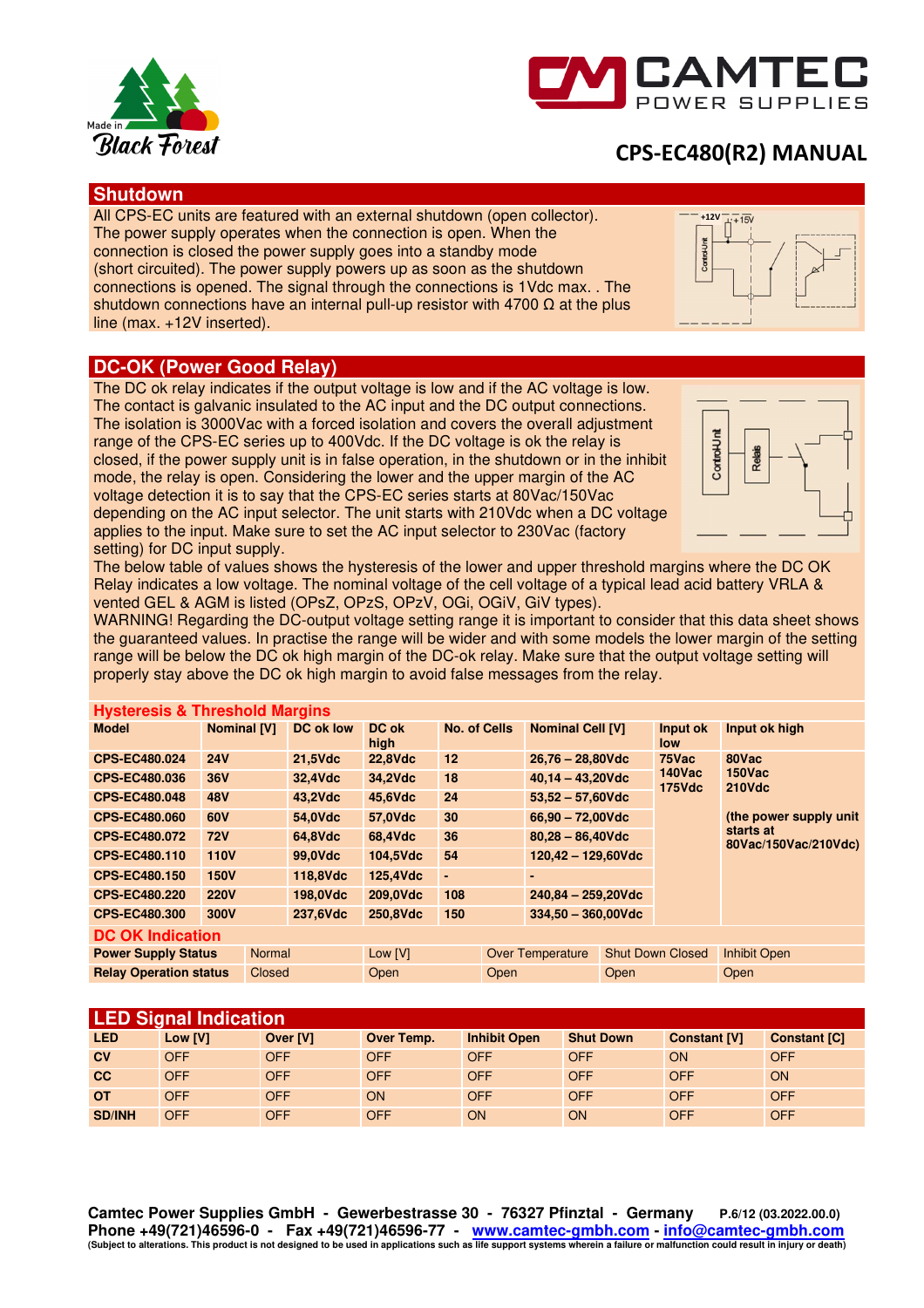



### **Shutdown**

All CPS-EC units are featured with an external shutdown (open collector). The power supply operates when the connection is open. When the connection is closed the power supply goes into a standby mode (short circuited). The power supply powers up as soon as the shutdown connections is opened. The signal through the connections is 1Vdc max. . The shutdown connections have an internal pull-up resistor with 4700  $\Omega$  at the plus line (max. +12V inserted).



## **DC-OK (Power Good Relay)**

The DC ok relay indicates if the output voltage is low and if the AC voltage is low. The contact is galvanic insulated to the AC input and the DC output connections. The isolation is 3000Vac with a forced isolation and covers the overall adjustment range of the CPS-EC series up to 400Vdc. If the DC voltage is ok the relay is closed, if the power supply unit is in false operation, in the shutdown or in the inhibit mode, the relay is open. Considering the lower and the upper margin of the AC voltage detection it is to say that the CPS-EC series starts at 80Vac/150Vac depending on the AC input selector. The unit starts with 210Vdc when a DC voltage applies to the input. Make sure to set the AC input selector to 230Vac (factory setting) for DC input supply.



The below table of values shows the hysteresis of the lower and upper threshold margins where the DC OK Relay indicates a low voltage. The nominal voltage of the cell voltage of a typical lead acid battery VRLA & vented GEL & AGM is listed (OPsZ, OPzS, OPzV, OGi, OGiV, GiV types).

WARNING! Regarding the DC-output voltage setting range it is important to consider that this data sheet shows the guaranteed values. In practise the range will be wider and with some models the lower margin of the setting range will be below the DC ok high margin of the DC-ok relay. Make sure that the output voltage setting will properly stay above the DC ok high margin to avoid false messages from the relay.

| <b>Hysteresis &amp; Threshold Margins</b> |                    |               |                  |                |                     |      |                         |      |                         |                                   |
|-------------------------------------------|--------------------|---------------|------------------|----------------|---------------------|------|-------------------------|------|-------------------------|-----------------------------------|
| <b>Model</b>                              | <b>Nominal [V]</b> |               | <b>DC ok low</b> | DC ok<br>high  | <b>No. of Cells</b> |      | <b>Nominal Cell [V]</b> |      | Input ok<br>low         | Input ok high                     |
| CPS-EC480.024                             | <b>24V</b>         |               | 21,5Vdc          | <b>22,8Vdc</b> | 12                  |      | $26,76 - 28,80$ Vdc     |      | 75Vac                   | 80Vac                             |
| <b>CPS-EC480.036</b>                      | <b>36V</b>         |               | 32,4Vdc          | 34,2Vdc        | 18                  |      | $40,14 - 43,20$ Vdc     |      | $140$ Vac<br>$175$ Vdc  | <b>150Vac</b><br><b>210Vdc</b>    |
| <b>CPS-EC480.048</b>                      | <b>48V</b>         |               | 43,2Vdc          | 45,6Vdc        | 24                  |      | $53,52 - 57,60$ Vdc     |      |                         |                                   |
| <b>CPS-EC480.060</b>                      | 60V                |               | 54,0Vdc          | 57,0Vdc        | 30                  |      | $66,90 - 72,00$ Vdc     |      |                         | (the power supply unit)           |
| CPS-EC480.072                             | <b>72V</b>         |               | 64,8Vdc          | 68,4Vdc        | 36                  |      | $80,28 - 86,40$ Vdc     |      |                         | starts at<br>80Vac/150Vac/210Vdc) |
| CPS-EC480.110                             | <b>110V</b>        |               | 99,0Vdc          | 104,5Vdc       | 54                  |      | $120,42 - 129,60$ Vdc   |      |                         |                                   |
| CPS-EC480.150                             | <b>150V</b>        |               | 118,8Vdc         | 125,4Vdc       | ٠                   |      | $\blacksquare$          |      |                         |                                   |
| <b>CPS-EC480.220</b>                      | <b>220V</b>        |               | 198,0Vdc         | 209.0Vdc       | 108                 |      | $240,84 - 259,20$ Vdc   |      |                         |                                   |
| <b>CPS-EC480.300</b>                      | 300V               |               | 237,6Vdc         | 250,8Vdc       | 150                 |      | $334,50 - 360,00$ Vdc   |      |                         |                                   |
| <b>DC OK Indication</b>                   |                    |               |                  |                |                     |      |                         |      |                         |                                   |
| <b>Power Supply Status</b>                |                    | <b>Normal</b> |                  | Low [V]        |                     |      | <b>Over Temperature</b> |      | <b>Shut Down Closed</b> | <b>Inhibit Open</b>               |
| <b>Relay Operation status</b>             |                    | Closed        |                  | Open           |                     | Open |                         | Open |                         | Open                              |

| <b>LED Signal Indication</b> |            |                 |            |                     |                  |                     |                     |  |  |  |
|------------------------------|------------|-----------------|------------|---------------------|------------------|---------------------|---------------------|--|--|--|
| <b>LED</b>                   | Low [V]    | <b>Over IVI</b> | Over Temp. | <b>Inhibit Open</b> | <b>Shut Down</b> | <b>Constant [V]</b> | <b>Constant [C]</b> |  |  |  |
| CV                           | <b>OFF</b> | <b>OFF</b>      | <b>OFF</b> | <b>OFF</b>          | <b>OFF</b>       | <b>ON</b>           | <b>OFF</b>          |  |  |  |
| cc                           | <b>OFF</b> | <b>OFF</b>      | <b>OFF</b> | <b>OFF</b>          | <b>OFF</b>       | <b>OFF</b>          | <b>ON</b>           |  |  |  |
| <b>OT</b>                    | <b>OFF</b> | <b>OFF</b>      | <b>ON</b>  | <b>OFF</b>          | <b>OFF</b>       | <b>OFF</b>          | <b>OFF</b>          |  |  |  |
| <b>SD/INH</b>                | OFF        | <b>OFF</b>      | <b>OFF</b> | <b>ON</b>           | <b>ON</b>        | OFF                 | <b>OFF</b>          |  |  |  |

**Camtec Power Supplies GmbH - Gewerbestrasse 30 - 76327 Pfinztal - Germany P.6/12 (03.2022.00.0) Phone +49(721)46596-0 - Fax +49(721)46596-77 - www.camtec-gmbh.com - info@camtec-gmbh.com (Subject to alterations. This product is not designed to be used in applications such as life support systems wherein a failure or malfunction could result in injury or death)**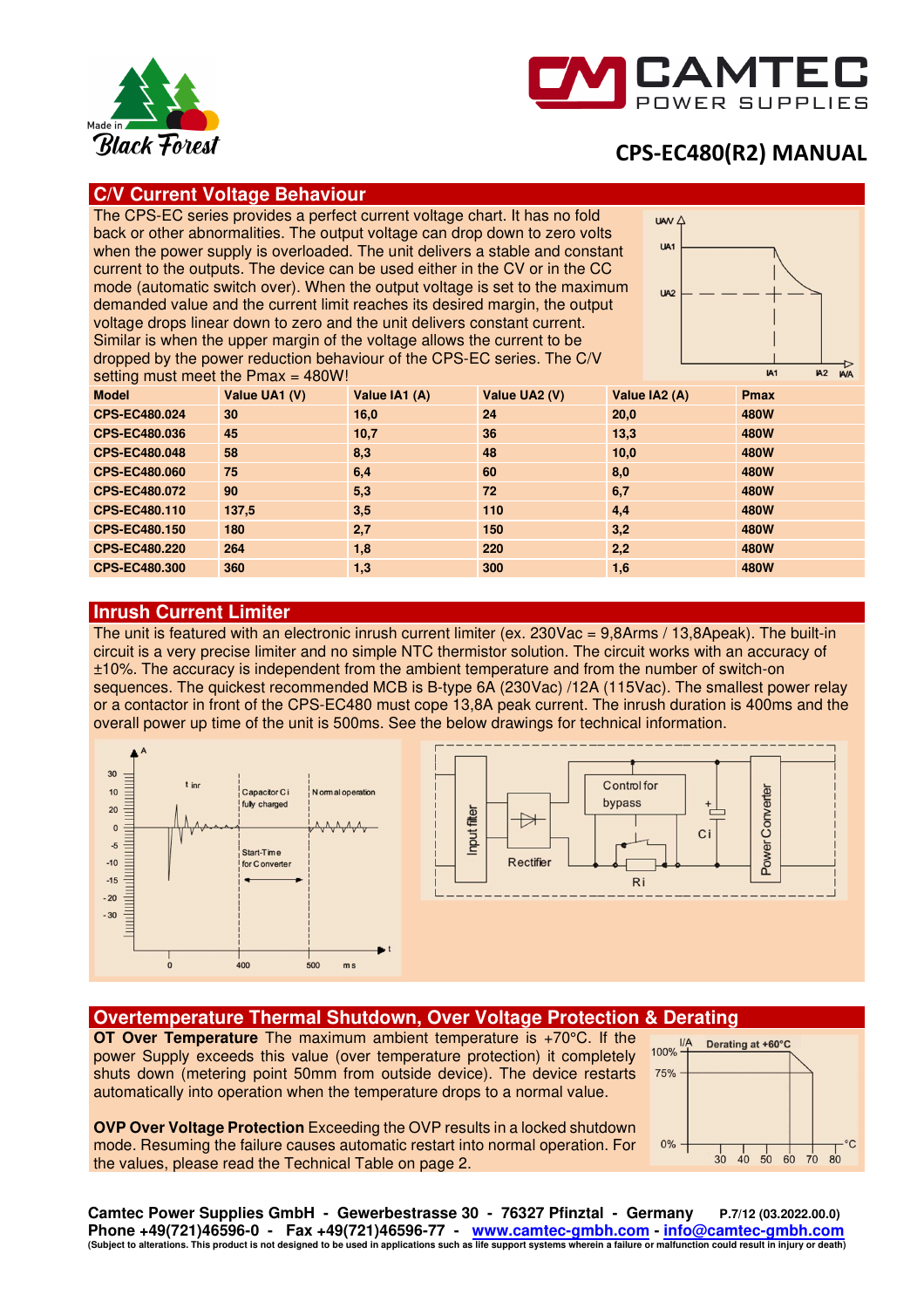



## **C/V Current Voltage Behaviour**

The CPS-EC series provides a perfect current voltage chart. It has no fold back or other abnormalities. The output voltage can drop down to zero volts when the power supply is overloaded. The unit delivers a stable and constant current to the outputs. The device can be used either in the CV or in the CC mode (automatic switch over). When the output voltage is set to the maximum demanded value and the current limit reaches its desired margin, the output voltage drops linear down to zero and the unit delivers constant current. Similar is when the upper margin of the voltage allows the current to be dropped by the power reduction behaviour of the CPS-EC series. The C/V setting must meet the Pmax = 480W!



| 30            |               |               |               |             |  |  |  |  |  |
|---------------|---------------|---------------|---------------|-------------|--|--|--|--|--|
| Value UA1 (V) | Value IA1 (A) | Value UA2 (V) | Value IA2 (A) | <b>Pmax</b> |  |  |  |  |  |
| 30            | 16,0          | 24            | 20,0          | 480W        |  |  |  |  |  |
| 45            | 10,7          | 36            | 13.3          | 480W        |  |  |  |  |  |
| 58            | 8.3           | 48            | 10,0          | <b>480W</b> |  |  |  |  |  |
| 75            | 6,4           | 60            | 8.0           | <b>480W</b> |  |  |  |  |  |
| 90            | 5,3           | 72            | 6,7           | <b>480W</b> |  |  |  |  |  |
| 137,5         | 3,5           | 110           | 4,4           | <b>480W</b> |  |  |  |  |  |
| 180           | 2,7           | 150           | 3,2           | <b>480W</b> |  |  |  |  |  |
| 264           | 1,8           | 220           | 2,2           | 480W        |  |  |  |  |  |
| 360           | 1,3           | 300           | 1,6           | 480W        |  |  |  |  |  |
|               |               |               |               |             |  |  |  |  |  |

### **Inrush Current Limiter**

The unit is featured with an electronic inrush current limiter (ex. 230Vac = 9,8Arms / 13,8Apeak). The built-in circuit is a very precise limiter and no simple NTC thermistor solution. The circuit works with an accuracy of ±10%. The accuracy is independent from the ambient temperature and from the number of switch-on sequences. The quickest recommended MCB is B-type 6A (230Vac) /12A (115Vac). The smallest power relay or a contactor in front of the CPS-EC480 must cope 13,8A peak current. The inrush duration is 400ms and the overall power up time of the unit is 500ms. See the below drawings for technical information.



### **Overtemperature Thermal Shutdown, Over Voltage Protection & Derating**

**OT Over Temperature** The maximum ambient temperature is +70°C. If the power Supply exceeds this value (over temperature protection) it completely shuts down (metering point 50mm from outside device). The device restarts automatically into operation when the temperature drops to a normal value.

**OVP Over Voltage Protection** Exceeding the OVP results in a locked shutdown mode. Resuming the failure causes automatic restart into normal operation. For the values, please read the Technical Table on page 2.



**Camtec Power Supplies GmbH - Gewerbestrasse 30 - 76327 Pfinztal - Germany P.7/12 (03.2022.00.0) Phone +49(721)46596-0 - Fax +49(721)46596-77 - www.camtec-gmbh.com - info@camtec-gmbh.com (Subject to alterations. This product is not designed to be used in applications such as life support systems wherein a failure or malfunction could result in injury or death)**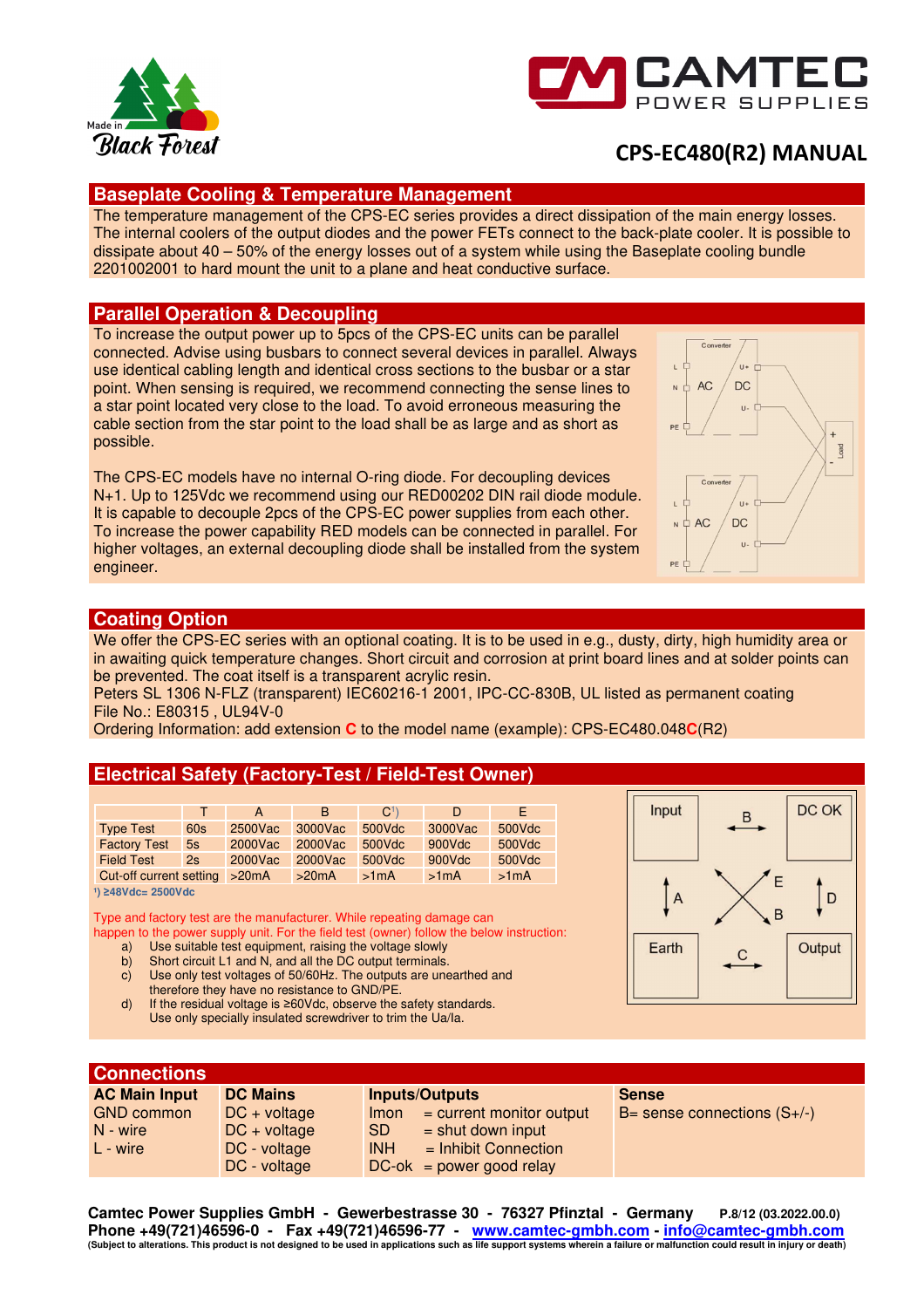



## **Baseplate Cooling & Temperature Management**

The temperature management of the CPS-EC series provides a direct dissipation of the main energy losses. The internal coolers of the output diodes and the power FETs connect to the back-plate cooler. It is possible to dissipate about 40 – 50% of the energy losses out of a system while using the Baseplate cooling bundle 2201002001 to hard mount the unit to a plane and heat conductive surface.

### **Parallel Operation & Decoupling**

To increase the output power up to 5pcs of the CPS-EC units can be parallel connected. Advise using busbars to connect several devices in parallel. Always use identical cabling length and identical cross sections to the busbar or a star point. When sensing is required, we recommend connecting the sense lines to a star point located very close to the load. To avoid erroneous measuring the cable section from the star point to the load shall be as large and as short as possible.

The CPS-EC models have no internal O-ring diode. For decoupling devices N+1. Up to 125Vdc we recommend using our RED00202 DIN rail diode module. It is capable to decouple 2pcs of the CPS-EC power supplies from each other. To increase the power capability RED models can be connected in parallel. For higher voltages, an external decoupling diode shall be installed from the system engineer.



### **Coating Option**

We offer the CPS-EC series with an optional coating. It is to be used in e.g., dusty, dirty, high humidity area or in awaiting quick temperature changes. Short circuit and corrosion at print board lines and at solder points can be prevented. The coat itself is a transparent acrylic resin.

Peters SL 1306 N-FLZ (transparent) IEC60216-1 2001, IPC-CC-830B, UL listed as permanent coating File No.: E80315 , UL94V-0

Ordering Information: add extension **C** to the model name (example): CPS-EC480.048**C**(R2)

## **Electrical Safety (Factory-Test / Field-Test Owner)**

|                         |     | A       | B.      | C <sup>1</sup> | D       | E.     |
|-------------------------|-----|---------|---------|----------------|---------|--------|
| <b>Type Test</b>        | 60s | 2500Vac | 3000Vac | 500Vdc         | 3000Vac | 500Vdc |
| <b>Factory Test</b>     | 5s  | 2000Vac | 2000Vac | 500Vdc         | 900Vdc  | 500Vdc |
| <b>Field Test</b>       | 2s  | 2000Vac | 2000Vac | 500Vdc         | 900Vdc  | 500Vdc |
| Cut-off current setting |     | >20mA   | >20mA   | >1mA           | >1mA    | >1mA   |

**¹) ≥48Vdc= 2500Vdc** 

Type and factory test are the manufacturer. While repeating damage can happen to the power supply unit. For the field test (owner) follow the below instruction:

- Use suitable test equipment, raising the voltage slowly
- b) Short circuit L1 and N, and all the DC output terminals. c) Use only test voltages of 50/60Hz. The outputs are unearthed and therefore they have no resistance to GND/PE.
- d) If the residual voltage is ≥60Vdc, observe the safety standards.
- Use only specially insulated screwdriver to trim the Ua/Ia.



#### **Connections AC Main Input**  GND common N - wire L - wire **DC Mains**  DC + voltage DC + voltage DC - voltage DC - voltage **Inputs/Outputs**  Imon = current monitor output  $SD =$  shut down input  $INH = Inhibit$  Connection  $DC-ok = power good relay$ **Sense**  B= sense connections (S+/-)

**Camtec Power Supplies GmbH - Gewerbestrasse 30 - 76327 Pfinztal - Germany P.8/12 (03.2022.00.0) Phone +49(721)46596-0 - Fax +49(721)46596-77 - www.camtec-gmbh.com - info@camtec-gmbh.com (Subject to alterations. This product is not designed to be used in applications such as life support systems wherein a failure or malfunction could result in injury or death)**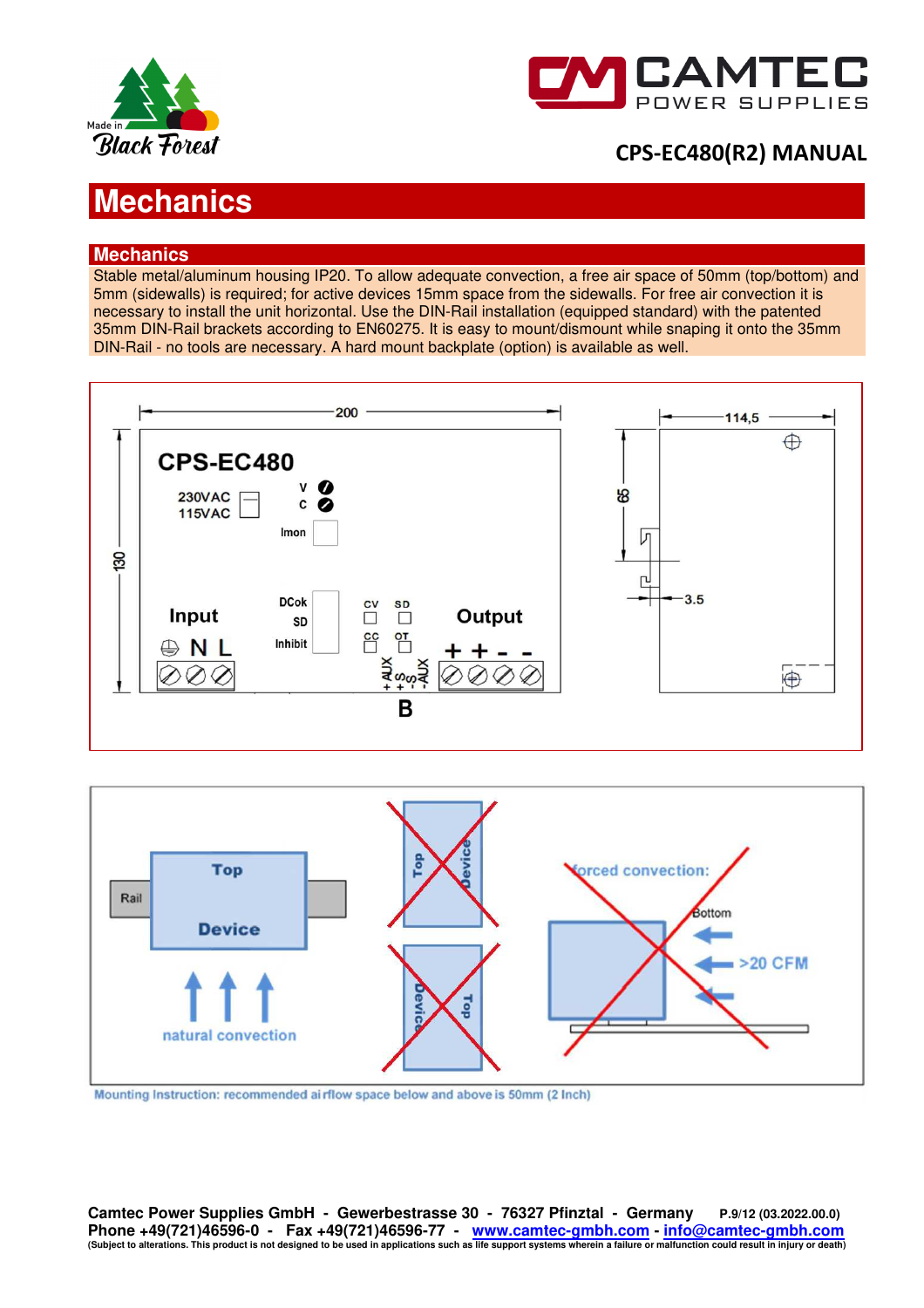



# **Mechanics**

## **Mechanics**

Stable metal/aluminum housing IP20. To allow adequate convection, a free air space of 50mm (top/bottom) and 5mm (sidewalls) is required; for active devices 15mm space from the sidewalls. For free air convection it is necessary to install the unit horizontal. Use the DIN-Rail installation (equipped standard) with the patented 35mm DIN-Rail brackets according to EN60275. It is easy to mount/dismount while snaping it onto the 35mm DIN-Rail - no tools are necessary. A hard mount backplate (option) is available as well.





Mounting Instruction: recommended airflow space below and above is 50mm (2 Inch)

**Camtec Power Supplies GmbH - Gewerbestrasse 30 - 76327 Pfinztal - Germany P.9/12 (03.2022.00.0)** Phone +49(721)46596-0 - Fax +49(721)46596-77 - <u>www.camtec-gmbh.com - info@camtec-gmbh.com - info@camtec-gmbh.com</u><br>(Subject to alterations. This product is not designed to be used in applications such as life support syste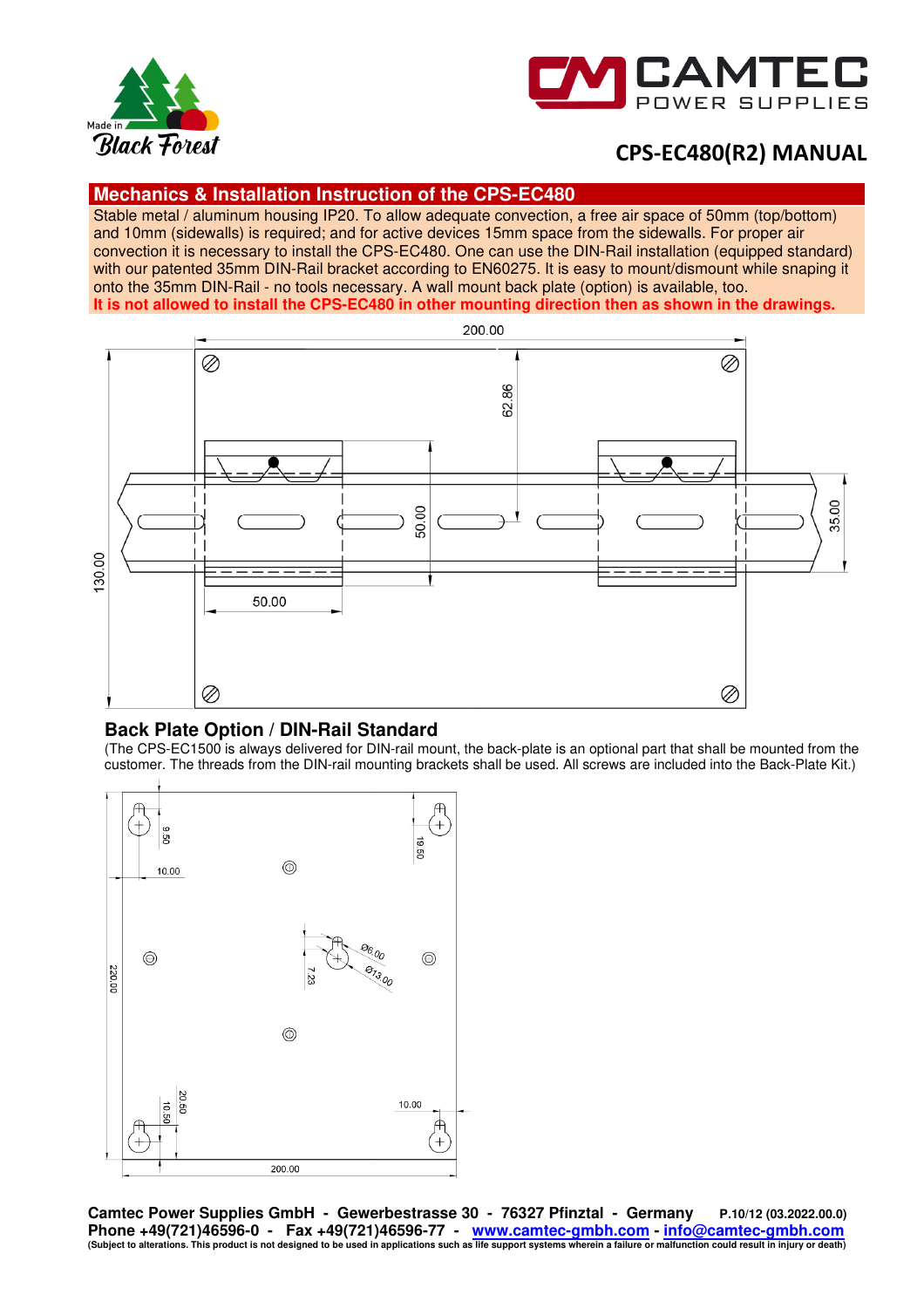



### **Mechanics & Installation Instruction of the CPS-EC480**

Stable metal / aluminum housing IP20. To allow adequate convection, a free air space of 50mm (top/bottom) and 10mm (sidewalls) is required; and for active devices 15mm space from the sidewalls. For proper air convection it is necessary to install the CPS-EC480. One can use the DIN-Rail installation (equipped standard) with our patented 35mm DIN-Rail bracket according to EN60275. It is easy to mount/dismount while snaping it onto the 35mm DIN-Rail - no tools necessary. A wall mount back plate (option) is available, too. **It is not allowed to install the CPS-EC480 in other mounting direction then as shown in the drawings.**



## **Back Plate Option / DIN-Rail Standard**

(The CPS-EC1500 is always delivered for DIN-rail mount, the back-plate is an optional part that shall be mounted from the customer. The threads from the DIN-rail mounting brackets shall be used. All screws are included into the Back-Plate Kit.)



**Camtec Power Supplies GmbH - Gewerbestrasse 30 - 76327 Pfinztal - Germany P.10/12 (03.2022.00.0) Phone +49(721)46596-0 - Fax +49(721)46596-77 - www.camtec-gmbh.com - info@camtec-gmbh.com (Subject to alterations. This product is not designed to be used in applications such as life support systems wherein a failure or malfunction could result in injury or death)**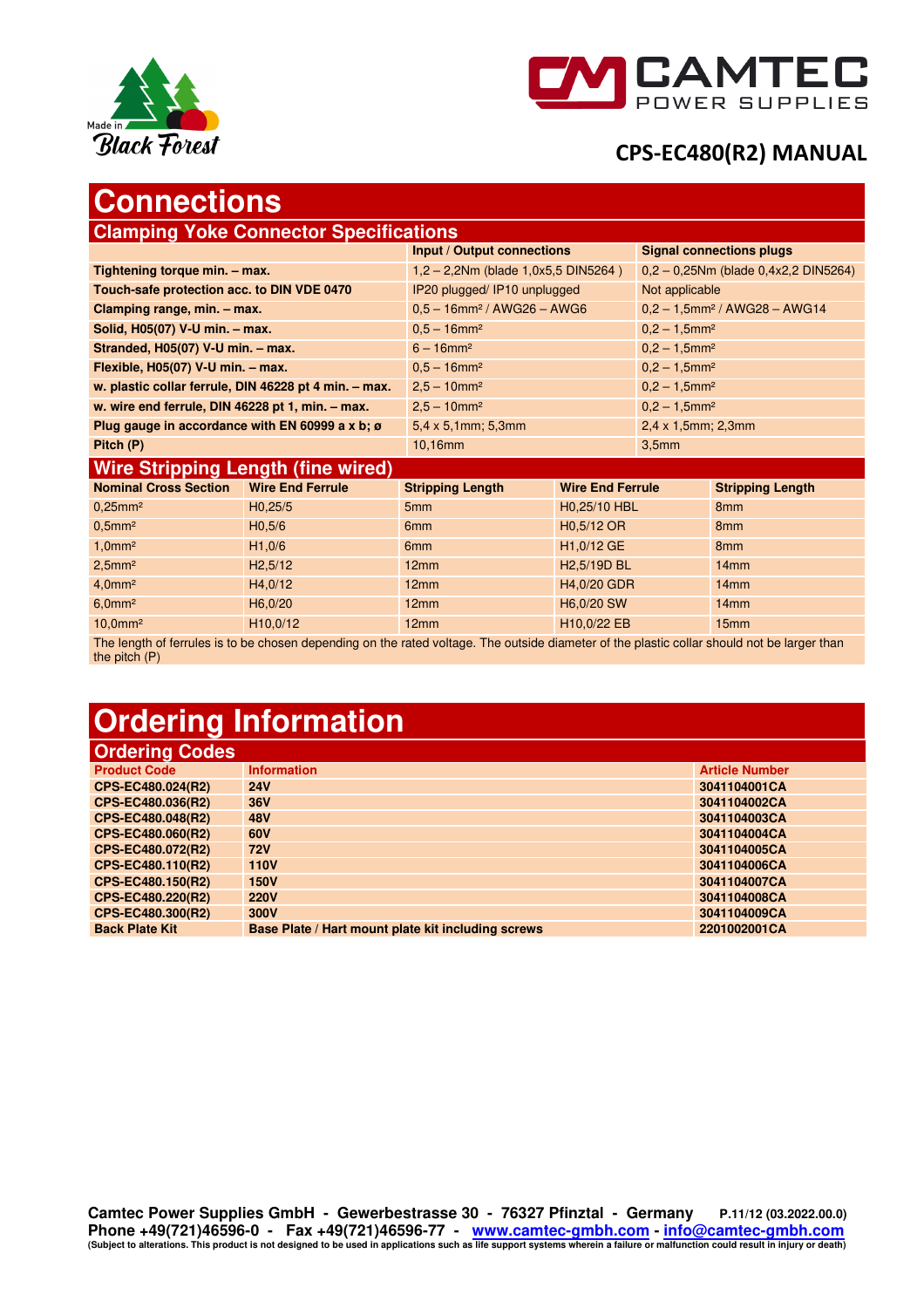



# **Connections**

| <b>Clamping Yoke Connector Specifications</b>           |                       |                                           |                           |                                           |                                             |  |  |  |
|---------------------------------------------------------|-----------------------|-------------------------------------------|---------------------------|-------------------------------------------|---------------------------------------------|--|--|--|
|                                                         |                       | Input / Output connections                |                           | <b>Signal connections plugs</b>           |                                             |  |  |  |
| Tightening torque min. - max.                           |                       | $1,2 - 2,2Nm$ (blade 1,0x5,5 DIN5264)     |                           | $0,2 - 0,25$ Nm (blade $0,4x2,2$ DIN5264) |                                             |  |  |  |
| Touch-safe protection acc. to DIN VDE 0470              |                       | IP20 plugged/IP10 unplugged               |                           | Not applicable                            |                                             |  |  |  |
| Clamping range, min. - max.                             |                       | $0.5 - 16$ mm <sup>2</sup> / AWG26 - AWG6 |                           |                                           | $0.2 - 1.5$ mm <sup>2</sup> / AWG28 - AWG14 |  |  |  |
| Solid, H05(07) V-U min. - max.                          |                       | $0.5 - 16$ mm <sup>2</sup>                |                           | $0.2 - 1.5$ mm <sup>2</sup>               |                                             |  |  |  |
| Stranded, H05(07) V-U min. - max.                       |                       | $6 - 16$ mm <sup>2</sup>                  |                           | $0,2 - 1,5$ mm <sup>2</sup>               |                                             |  |  |  |
| Flexible, H05(07) V-U min. - max.                       |                       | $0.5 - 16$ mm <sup>2</sup>                |                           | $0,2 - 1,5$ mm <sup>2</sup>               |                                             |  |  |  |
| w. plastic collar ferrule, DIN 46228 pt 4 min. - max.   |                       | $2,5 - 10$ mm <sup>2</sup>                |                           | $0.2 - 1.5$ mm <sup>2</sup>               |                                             |  |  |  |
| w. wire end ferrule, DIN 46228 pt 1, min. - max.        |                       | $2,5 - 10$ mm <sup>2</sup>                |                           | $0.2 - 1.5$ mm <sup>2</sup>               |                                             |  |  |  |
| Plug gauge in accordance with EN 60999 a x b; $\sigma$  |                       | $5,4 \times 5,1$ mm; 5,3mm                |                           | $2,4 \times 1,5$ mm; $2,3$ mm             |                                             |  |  |  |
| Pitch (P)                                               |                       | $10,16$ mm                                |                           | 3,5mm                                     |                                             |  |  |  |
| <b>Wire Stripping Length (fine wired)</b>               |                       |                                           |                           |                                           |                                             |  |  |  |
| <b>Nominal Cross Section</b><br><b>Wire End Ferrule</b> |                       | <b>Stripping Length</b>                   | <b>Wire End Ferrule</b>   |                                           | <b>Stripping Length</b>                     |  |  |  |
| $0.25$ mm <sup>2</sup>                                  | H <sub>0</sub> , 25/5 | 5 <sub>mm</sub>                           | H <sub>0</sub> ,25/10 HBL |                                           | 8 <sub>mm</sub>                             |  |  |  |
| $0.5$ mm <sup>2</sup><br>H <sub>0.5/6</sub>             |                       | 6 <sub>mm</sub>                           | H <sub>0.5</sub> /12 OR   |                                           | 8mm                                         |  |  |  |
| 1,0mm <sup>2</sup>                                      | H1,0/6                | 6 <sub>mm</sub>                           | H1,0/12 GE                |                                           | 8 <sub>mm</sub>                             |  |  |  |

10,0mm<sup>2</sup> 10,0/12 H10,0/12 12mm H10,0/22 EB 15mm The length of ferrules is to be chosen depending on the rated voltage. The outside diameter of the plastic collar should not be larger than the pitch (P)

2,5mm² H2,5/12 12mm H2,5/19D BL 14mm 4,0mm² H4,0/12 12mm H4,0/20 GDR 14mm 6,0mm² H6,0/20 12mm H6,0/20 SW 14mm

# **Ordering Information**

|  | <b>Ordering Codes</b> |  |
|--|-----------------------|--|
|  |                       |  |

| <b>Product Code</b>   | <b>Information</b>                                 | <b>Article Number</b> |
|-----------------------|----------------------------------------------------|-----------------------|
| CPS-EC480.024(R2)     | <b>24V</b>                                         | 3041104001CA          |
| CPS-EC480.036(R2)     | <b>36V</b>                                         | 3041104002CA          |
| CPS-EC480.048(R2)     | <b>48V</b>                                         | 3041104003CA          |
| CPS-EC480.060(R2)     | 60V                                                | 3041104004CA          |
| CPS-EC480.072(R2)     | <b>72V</b>                                         | 3041104005CA          |
| CPS-EC480.110(R2)     | <b>110V</b>                                        | 3041104006CA          |
| CPS-EC480.150(R2)     | <b>150V</b>                                        | 3041104007CA          |
| CPS-EC480.220(R2)     | <b>220V</b>                                        | 3041104008CA          |
| CPS-EC480.300(R2)     | 300V                                               | 3041104009CA          |
| <b>Back Plate Kit</b> | Base Plate / Hart mount plate kit including screws | 2201002001CA          |